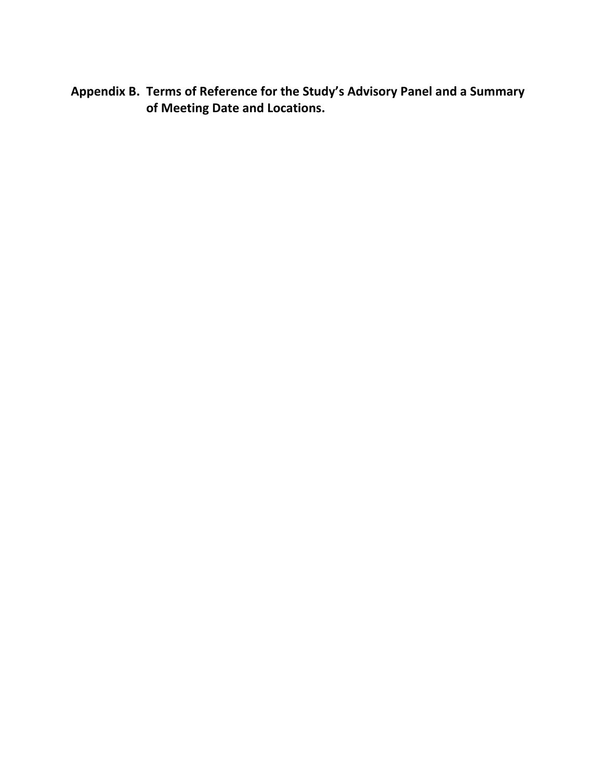**Appendix B. Terms of Reference for the Study's Advisory Panel and a Summary of Meeting Date and Locations.**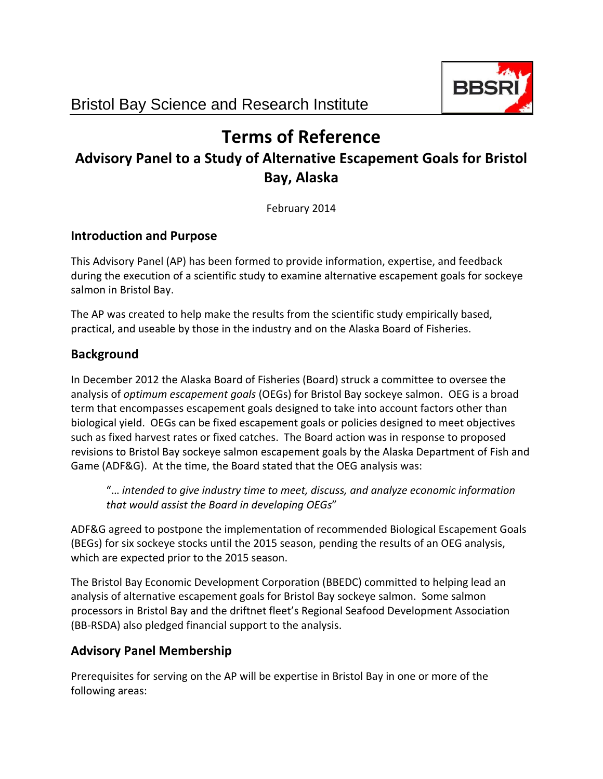

# **Terms of Reference**

## **Advisory Panel to a Study of Alternative Escapement Goals for Bristol Bay, Alaska**

February 2014

#### **Introduction and Purpose**

This Advisory Panel (AP) has been formed to provide information, expertise, and feedback during the execution of a scientific study to examine alternative escapement goals for sockeye salmon in Bristol Bay.

The AP was created to help make the results from the scientific study empirically based, practical, and useable by those in the industry and on the Alaska Board of Fisheries.

### **Background**

In December 2012 the Alaska Board of Fisheries (Board) struck a committee to oversee the analysis of *optimum escapement goals* (OEGs) for Bristol Bay sockeye salmon. OEG is a broad term that encompasses escapement goals designed to take into account factors other than biological yield. OEGs can be fixed escapement goals or policies designed to meet objectives such as fixed harvest rates or fixed catches. The Board action was in response to proposed revisions to Bristol Bay sockeye salmon escapement goals by the Alaska Department of Fish and Game (ADF&G). At the time, the Board stated that the OEG analysis was:

"… *intended to give industry time to meet, discuss, and analyze economic information that would assist the Board in developing OEGs*"

ADF&G agreed to postpone the implementation of recommended Biological Escapement Goals (BEGs) for six sockeye stocks until the 2015 season, pending the results of an OEG analysis, which are expected prior to the 2015 season.

The Bristol Bay Economic Development Corporation (BBEDC) committed to helping lead an analysis of alternative escapement goals for Bristol Bay sockeye salmon. Some salmon processors in Bristol Bay and the driftnet fleet's Regional Seafood Development Association (BB‐RSDA) also pledged financial support to the analysis.

## **Advisory Panel Membership**

Prerequisites for serving on the AP will be expertise in Bristol Bay in one or more of the following areas: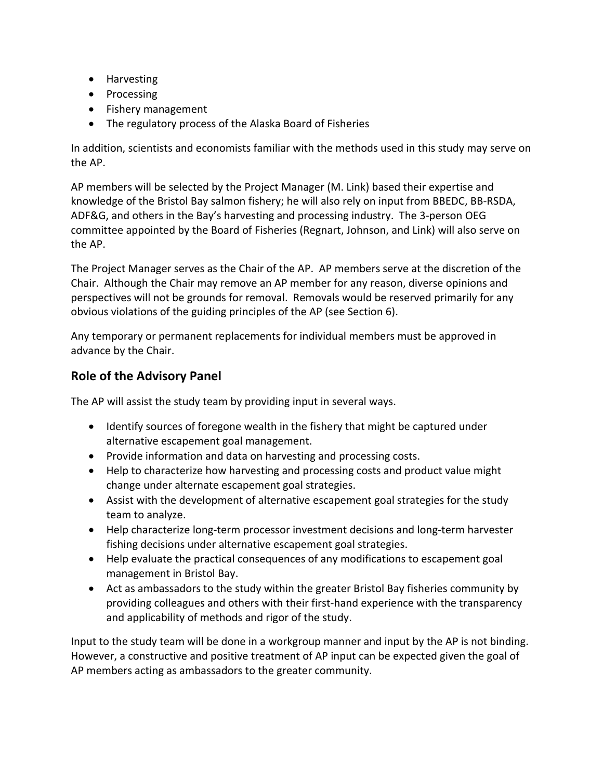- Harvesting
- Processing
- Fishery management
- The regulatory process of the Alaska Board of Fisheries

In addition, scientists and economists familiar with the methods used in this study may serve on the AP.

AP members will be selected by the Project Manager (M. Link) based their expertise and knowledge of the Bristol Bay salmon fishery; he will also rely on input from BBEDC, BB‐RSDA, ADF&G, and others in the Bay's harvesting and processing industry. The 3‐person OEG committee appointed by the Board of Fisheries (Regnart, Johnson, and Link) will also serve on the AP.

The Project Manager serves as the Chair of the AP. AP members serve at the discretion of the Chair. Although the Chair may remove an AP member for any reason, diverse opinions and perspectives will not be grounds for removal. Removals would be reserved primarily for any obvious violations of the guiding principles of the AP (see Section 6).

Any temporary or permanent replacements for individual members must be approved in advance by the Chair.

## **Role of the Advisory Panel**

The AP will assist the study team by providing input in several ways.

- Identify sources of foregone wealth in the fishery that might be captured under alternative escapement goal management.
- Provide information and data on harvesting and processing costs.
- Help to characterize how harvesting and processing costs and product value might change under alternate escapement goal strategies.
- Assist with the development of alternative escapement goal strategies for the study team to analyze.
- Help characterize long-term processor investment decisions and long-term harvester fishing decisions under alternative escapement goal strategies.
- Help evaluate the practical consequences of any modifications to escapement goal management in Bristol Bay.
- Act as ambassadors to the study within the greater Bristol Bay fisheries community by providing colleagues and others with their first‐hand experience with the transparency and applicability of methods and rigor of the study.

Input to the study team will be done in a workgroup manner and input by the AP is not binding. However, a constructive and positive treatment of AP input can be expected given the goal of AP members acting as ambassadors to the greater community.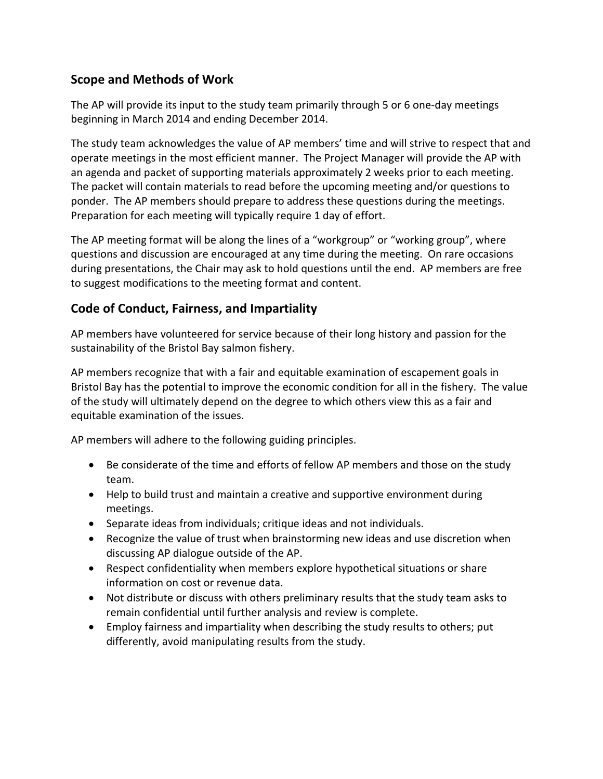#### **Scope and Methods of Work**

The AP will provide its input to the study team primarily through 5 or 6 one-day meetings beginning in March 2014 and ending December 2014.

The study team acknowledges the value of AP members' time and will strive to respect that and operate meetings in the most efficient manner. The Project Manager will provide the AP with an agenda and packet of supporting materials approximately 2 weeks prior to each meeting. The packet will contain materials to read before the upcoming meeting and/or questions to ponder. The AP members should prepare to address these questions during the meetings. Preparation for each meeting will typically require 1 day of effort.

The AP meeting format will be along the lines of a "workgroup" or "working group", where questions and discussion are encouraged at any time during the meeting. On rare occasions during presentations, the Chair may ask to hold questions until the end. AP members are free to suggest modifications to the meeting format and content.

#### **Code of Conduct, Fairness, and Impartiality**

AP members have volunteered for service because of their long history and passion for the sustainability of the Bristol Bay salmon fishery.

AP members recognize that with a fair and equitable examination of escapement goals in Bristol Bay has the potential to improve the economic condition for all in the fishery. The value of the study will ultimately depend on the degree to which others view this as a fair and equitable examination of the issues.

AP members will adhere to the following guiding principles.

- Be considerate of the time and efforts of fellow AP members and those on the study team.
- Help to build trust and maintain a creative and supportive environment during meetings.
- Separate ideas from individuals; critique ideas and not individuals.
- Recognize the value of trust when brainstorming new ideas and use discretion when discussing AP dialogue outside of the AP.
- Respect confidentiality when members explore hypothetical situations or share information on cost or revenue data.
- Not distribute or discuss with others preliminary results that the study team asks to remain confidential until further analysis and review is complete.
- Employ fairness and impartiality when describing the study results to others; put differently, avoid manipulating results from the study.